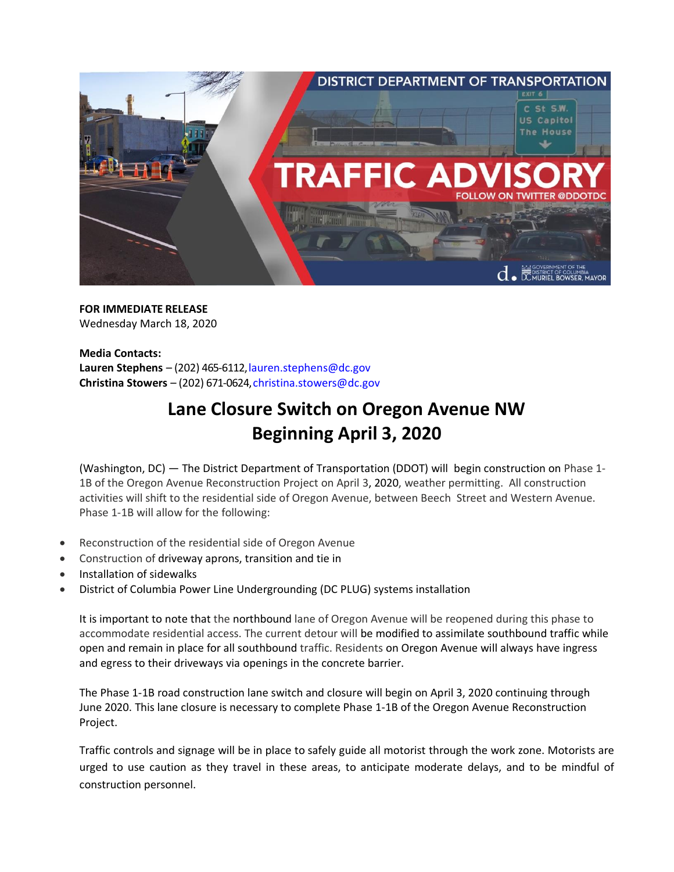

**FOR IMMEDIATE RELEASE** Wednesday March 18, 2020

**Media Contacts:** Lauren Stephens – (202) 465-6112, lauren.stephens@dc.gov **Christina Stowers** – (202) 671-0624, christina.stowers@dc.gov

## **Lane Closure Switch on Oregon Avenue NW Beginning April 3, 2020**

(Washington, DC) — The District Department of Transportation (DDOT) will begin construction on Phase 1- 1B of the Oregon Avenue Reconstruction Project on April 3, 2020, weather permitting. All construction activities will shift to the residential side of Oregon Avenue, between Beech Street and Western Avenue. Phase 1-1B will allow for the following:

- Reconstruction of the residential side of Oregon Avenue
- Construction of driveway aprons, transition and tie in
- Installation of sidewalks
- District of Columbia Power Line Undergrounding (DC PLUG) systems installation

It is important to note that the northbound lane of Oregon Avenue will be reopened during this phase to accommodate residential access. The current detour will be modified to assimilate southbound traffic while open and remain in place for all southbound traffic. Residents on Oregon Avenue will always have ingress and egress to their driveways via openings in the concrete barrier.

The Phase 1-1B road construction lane switch and closure will begin on April 3, 2020 continuing through June 2020. This lane closure is necessary to complete Phase 1-1B of the Oregon Avenue Reconstruction Project.

Traffic controls and signage will be in place to safely guide all motorist through the work zone. Motorists are urged to use caution as they travel in these areas, to anticipate moderate delays, and to be mindful of construction personnel.